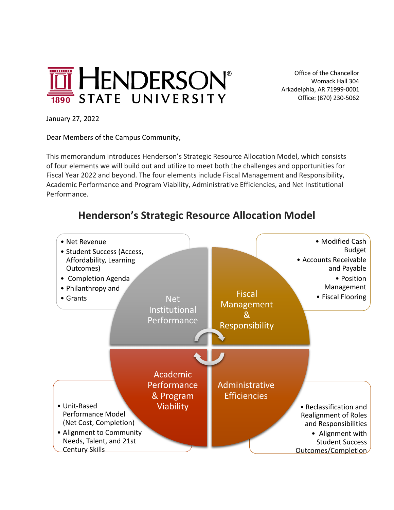

 Office of the Chancellor Womack Hall 304 Arkadelphia, AR 71999-0001 Office: (870) 230-5062

January 27, 2022

Dear Members of the Campus Community,

This memorandum introduces Henderson's Strategic Resource Allocation Model, which consists of four elements we will build out and utilize to meet both the challenges and opportunities for Fiscal Year 2022 and beyond. The four elements include Fiscal Management and Responsibility, Academic Performance and Program Viability, Administrative Efficiencies, and Net Institutional Performance.

## **Henderson's Strategic Resource Allocation Model**

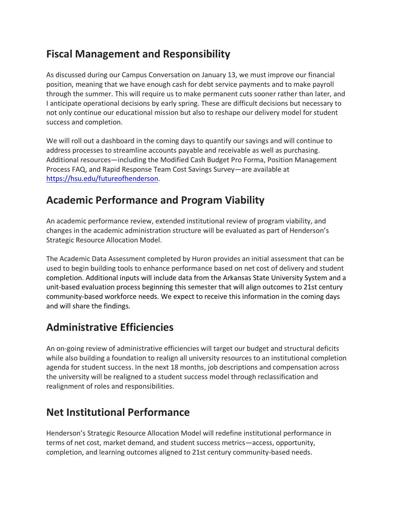## **Fiscal Management and Responsibility**

As discussed during our Campus Conversation on January 13, we must improve our financial position, meaning that we have enough cash for debt service payments and to make payroll through the summer. This will require us to make permanent cuts sooner rather than later, and I anticipate operational decisions by early spring. These are difficult decisions but necessary to not only continue our educational mission but also to reshape our delivery model for student success and completion.

We will roll out a dashboard in the coming days to quantify our savings and will continue to address processes to streamline accounts payable and receivable as well as purchasing. Additional resources—including the Modified Cash Budget Pro Forma, Position Management Process FAQ, and Rapid Response Team Cost Savings Survey—are available at https://hsu.edu/futureofhenderson.

## **Academic Performance and Program Viability**

An academic performance review, extended institutional review of program viability, and changes in the academic administration structure will be evaluated as part of Henderson's Strategic Resource Allocation Model.

The Academic Data Assessment completed by Huron provides an initial assessment that can be used to begin building tools to enhance performance based on net cost of delivery and student completion. Additional inputs will include data from the Arkansas State University System and a unit-based evaluation process beginning this semester that will align outcomes to 21st century community-based workforce needs. We expect to receive this information in the coming days and will share the findings.

# **Administrative Efficiencies**

An on-going review of administrative efficiencies will target our budget and structural deficits while also building a foundation to realign all university resources to an institutional completion agenda for student success. In the next 18 months, job descriptions and compensation across the university will be realigned to a student success model through reclassification and realignment of roles and responsibilities.

# **Net Institutional Performance**

Henderson's Strategic Resource Allocation Model will redefine institutional performance in terms of net cost, market demand, and student success metrics—access, opportunity, completion, and learning outcomes aligned to 21st century community-based needs.